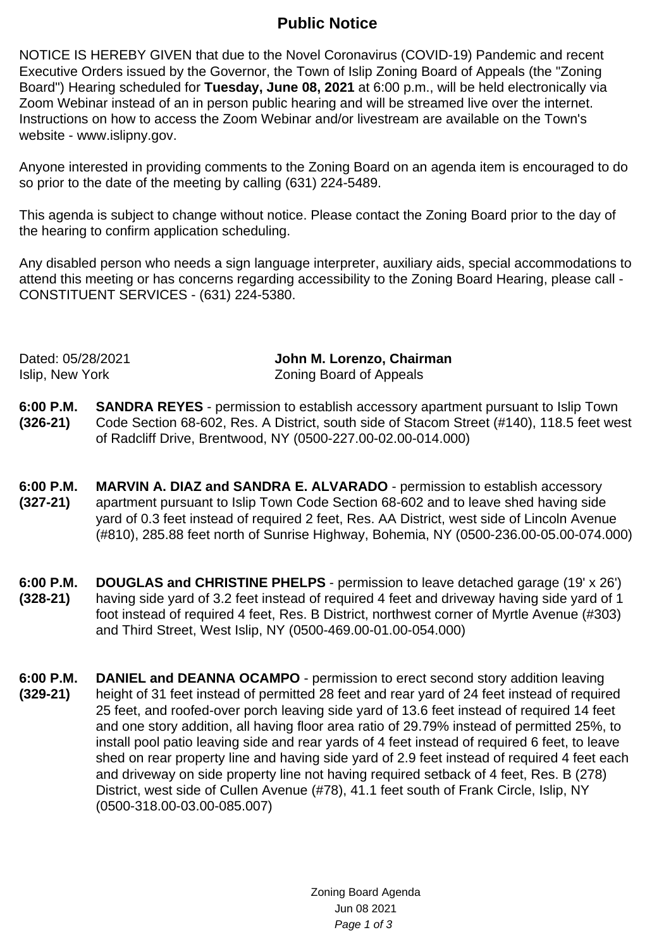## **Public Notice**

NOTICE IS HEREBY GIVEN that due to the Novel Coronavirus (COVID-19) Pandemic and recent Executive Orders issued by the Governor, the Town of Islip Zoning Board of Appeals (the "Zoning Board") Hearing scheduled for **Tuesday, June 08, 2021** at 6:00 p.m., will be held electronically via Zoom Webinar instead of an in person public hearing and will be streamed live over the internet. Instructions on how to access the Zoom Webinar and/or livestream are available on the Town's website - www.islipny.gov.

Anyone interested in providing comments to the Zoning Board on an agenda item is encouraged to do so prior to the date of the meeting by calling (631) 224-5489.

This agenda is subject to change without notice. Please contact the Zoning Board prior to the day of the hearing to confirm application scheduling.

Any disabled person who needs a sign language interpreter, auxiliary aids, special accommodations to attend this meeting or has concerns regarding accessibility to the Zoning Board Hearing, please call - CONSTITUENT SERVICES - (631) 224-5380.

Dated: 05/28/2021 **John M. Lorenzo, Chairman** Islip, New York Zoning Board of Appeals

- **6:00 P.M. (326-21) SANDRA REYES** - permission to establish accessory apartment pursuant to Islip Town Code Section 68-602, Res. A District, south side of Stacom Street (#140), 118.5 feet west of Radcliff Drive, Brentwood, NY (0500-227.00-02.00-014.000)
- **6:00 P.M. (327-21) MARVIN A. DIAZ and SANDRA E. ALVARADO** - permission to establish accessory apartment pursuant to Islip Town Code Section 68-602 and to leave shed having side yard of 0.3 feet instead of required 2 feet, Res. AA District, west side of Lincoln Avenue (#810), 285.88 feet north of Sunrise Highway, Bohemia, NY (0500-236.00-05.00-074.000)
- **6:00 P.M. (328-21) DOUGLAS and CHRISTINE PHELPS** - permission to leave detached garage (19' x 26') having side yard of 3.2 feet instead of required 4 feet and driveway having side yard of 1 foot instead of required 4 feet, Res. B District, northwest corner of Myrtle Avenue (#303) and Third Street, West Islip, NY (0500-469.00-01.00-054.000)
- **6:00 P.M. (329-21) DANIEL and DEANNA OCAMPO** - permission to erect second story addition leaving height of 31 feet instead of permitted 28 feet and rear yard of 24 feet instead of required 25 feet, and roofed-over porch leaving side yard of 13.6 feet instead of required 14 feet and one story addition, all having floor area ratio of 29.79% instead of permitted 25%, to install pool patio leaving side and rear yards of 4 feet instead of required 6 feet, to leave shed on rear property line and having side yard of 2.9 feet instead of required 4 feet each and driveway on side property line not having required setback of 4 feet, Res. B (278) District, west side of Cullen Avenue (#78), 41.1 feet south of Frank Circle, Islip, NY (0500-318.00-03.00-085.007)

Zoning Board Agenda Jun 08 2021 Page 1 of 3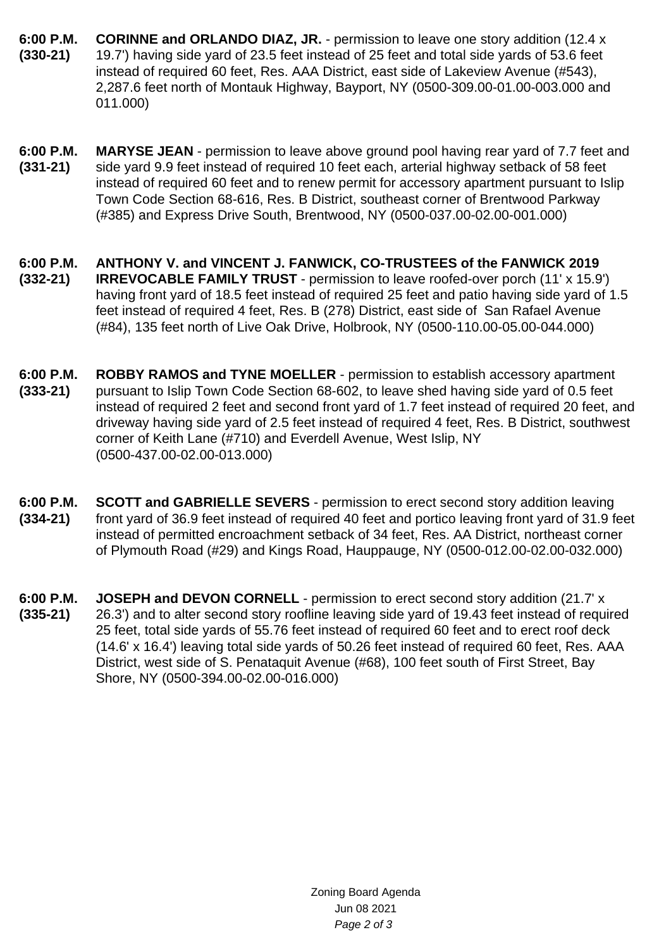- **6:00 P.M. (330-21) CORINNE and ORLANDO DIAZ, JR.** - permission to leave one story addition (12.4 x 19.7') having side yard of 23.5 feet instead of 25 feet and total side yards of 53.6 feet instead of required 60 feet, Res. AAA District, east side of Lakeview Avenue (#543), 2,287.6 feet north of Montauk Highway, Bayport, NY (0500-309.00-01.00-003.000 and 011.000)
- **6:00 P.M. (331-21) MARYSE JEAN** - permission to leave above ground pool having rear yard of 7.7 feet and side yard 9.9 feet instead of required 10 feet each, arterial highway setback of 58 feet instead of required 60 feet and to renew permit for accessory apartment pursuant to Islip Town Code Section 68-616, Res. B District, southeast corner of Brentwood Parkway (#385) and Express Drive South, Brentwood, NY (0500-037.00-02.00-001.000)
- **6:00 P.M. (332-21) ANTHONY V. and VINCENT J. FANWICK, CO-TRUSTEES of the FANWICK 2019 IRREVOCABLE FAMILY TRUST** - permission to leave roofed-over porch (11' x 15.9') having front yard of 18.5 feet instead of required 25 feet and patio having side yard of 1.5 feet instead of required 4 feet, Res. B (278) District, east side of San Rafael Avenue (#84), 135 feet north of Live Oak Drive, Holbrook, NY (0500-110.00-05.00-044.000)
- **6:00 P.M. (333-21) ROBBY RAMOS and TYNE MOELLER** - permission to establish accessory apartment pursuant to Islip Town Code Section 68-602, to leave shed having side yard of 0.5 feet instead of required 2 feet and second front yard of 1.7 feet instead of required 20 feet, and driveway having side yard of 2.5 feet instead of required 4 feet, Res. B District, southwest corner of Keith Lane (#710) and Everdell Avenue, West Islip, NY (0500-437.00-02.00-013.000)
- **6:00 P.M. (334-21) SCOTT and GABRIELLE SEVERS** - permission to erect second story addition leaving front yard of 36.9 feet instead of required 40 feet and portico leaving front yard of 31.9 feet instead of permitted encroachment setback of 34 feet, Res. AA District, northeast corner of Plymouth Road (#29) and Kings Road, Hauppauge, NY (0500-012.00-02.00-032.000)
- **6:00 P.M. (335-21) JOSEPH and DEVON CORNELL** - permission to erect second story addition (21.7' x 26.3') and to alter second story roofline leaving side yard of 19.43 feet instead of required 25 feet, total side yards of 55.76 feet instead of required 60 feet and to erect roof deck (14.6' x 16.4') leaving total side yards of 50.26 feet instead of required 60 feet, Res. AAA District, west side of S. Penataquit Avenue (#68), 100 feet south of First Street, Bay Shore, NY (0500-394.00-02.00-016.000)